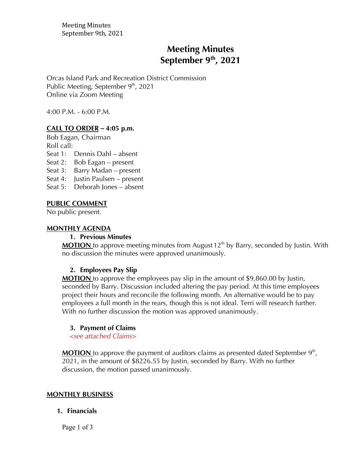Meeting Minutes September 9th, 2021

# **Meeting Minutes September 9th , 2021**

Orcas Island Park and Recreation District Commission Public Meeting, September  $9<sup>th</sup>$ , 2021 Online via Zoom Meeting

4:00 P.M. - 6:00 P.M.

# **CALL TO ORDER** *–* **4:05 p.m.**

Bob Eagan, Chairman

Roll call:

- Seat 1: Dennis Dahl absent
- Seat 2: Bob Eagan present
- Seat 3: Barry Madan present
- Seat 4: Justin Paulsen present
- Seat 5: Deborah Jones absent

### **PUBLIC COMMENT**

No public present.

### **MONTHLY AGENDA**

### **1. Previous Minutes**

MOTION to approve meeting minutes from August 12<sup>th</sup> by Barry, seconded by Justin. With no discussion the minutes were approved unanimously.

### **2. Employees Pay Slip**

**MOTION** to approve the employees pay slip in the amount of \$9,860.00 by Justin, seconded by Barry. Discussion included altering the pay period. At this time employees project their hours and reconcile the following month. An alternative would be to pay employees a full month in the rears, though this is not ideal. Terri will research further. With no further discussion the motion was approved unanimously.

### **3. Payment of Claims**

*<see attached Claims>*

**MOTION** to approve the payment of auditors claims as presented dated September 9<sup>th</sup>, 2021, in the amount of \$8226.55 by Justin, seconded by Barry. With no further discussion, the motion passed unanimously.

### **MONTHLY BUSINESS**

#### **1. Financials**

Page 1 of 3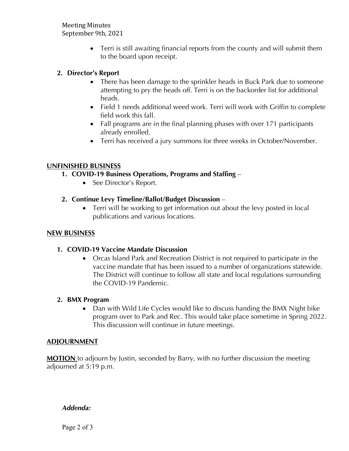Meeting Minutes September 9th, 2021

> • Terri is still awaiting financial reports from the county and will submit them to the board upon receipt.

# **2. Director's Report**

- There has been damage to the sprinkler heads in Buck Park due to someone attempting to pry the heads off. Terri is on the backorder list for additional heads.
- Field 1 needs additional weed work. Terri will work with Griffin to complete field work this fall.
- Fall programs are in the final planning phases with over 171 participants already enrolled.
- Terri has received a jury summons for three weeks in October/November.

# **UNFINISHED BUSINESS**

- **1. COVID-19 Business Operations, Programs and Staffing** 
	- See Director's Report.
- **2. Continue Levy Timeline/Ballot/Budget Discussion**
	- Terri will be working to get information out about the levy posted in local publications and various locations.

# **NEW BUSINESS**

# **1. COVID-19 Vaccine Mandate Discussion**

• Orcas Island Park and Recreation District is not required to participate in the vaccine mandate that has been issued to a number of organizations statewide. The District will continue to follow all state and local regulations surrounding the COVID-19 Pandemic.

# **2. BMX Program**

• Dan with Wild Life Cycles would like to discuss handing the BMX Night bike program over to Park and Rec. This would take place sometime in Spring 2022. This discussion will continue in future meetings.

# **ADJOURNMENT**

**MOTION** to adjourn by Justin, seconded by Barry, with no further discussion the meeting adjourned at 5:19 p.m.

### *Addenda:*

Page 2 of 3